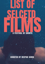# A FESTIVAL OF SHORTS FILMS OF SHORTS

LIST UF

SELLE

#### CURATED BY DEEPAK SINHA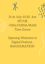

### 31 th July 10:30 Am IST/UK /USA/CHINA/IRAN Time Zones

#### Opening Welcome to Digital Festival , INAUGURATION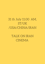#### 31 th July 11:00 AM, ST/UK /USA/CHINA/IRAN

#### TALK ON IRAN CINEMA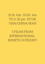31 th July 10:30 Am TO 3: 30 pm ST/UK /USA/CHINA/IRAN

5 FILMS FROM

#### INTERNATIONAL SHORTS CATEGORY

- 
- 
- 
- -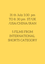31 th July 3:30 pm TO 8: 30 pm ST/UK /USA/CHINA/IRAN

#### 5 FILMS FROM

#### INTERNATIONAL SHORTS CATEGORY

- 
- 
- 
- -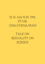#### 31 th July 8:30 PM, ST/UK /USA/CHINA/IRAN

TALK ON

## SEXUALITY ON SCREEN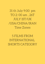31 th July 9:00 pm TO 2: 00 am , 26T JULY IST/UK /USA/CHINA/IRAN Time Zones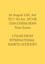1st August 2:00 Am TO 7: 00 Am IST/UK /USA/CHINA/IRAN Time Zones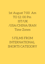1st August 7:00 Am TO 12: 00 Pm IST/UK /USA/CHINA/IRAN Time Zones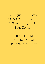1st August 12:00 Am TO 5: 00 Pm IST/UK /USA/CHINA/IRAN Time Zones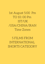1st August 5:00 Pm TO 10: 00 Pm IST/UK /USA/CHINA/IRAN Time Zones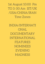1st August 10:00 Pm TO 3: 00 Am IST/UK /USA/CHINA/IRAN Time Zones

INDIA/INTERNATI ONAL CUMENTARY INTERNATIONAL FEATURES NOMINEES EVENING MADNESS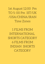1st August 12:00 Pm TO 5: 00 Pm IST/UK /USA/CHINA/IRAN Time Zones

1 FILMS FROM INTERNATIONAL

SHORTS CATEGORY 6 FILMS FROM INDIAN SHORTS CATEGORY